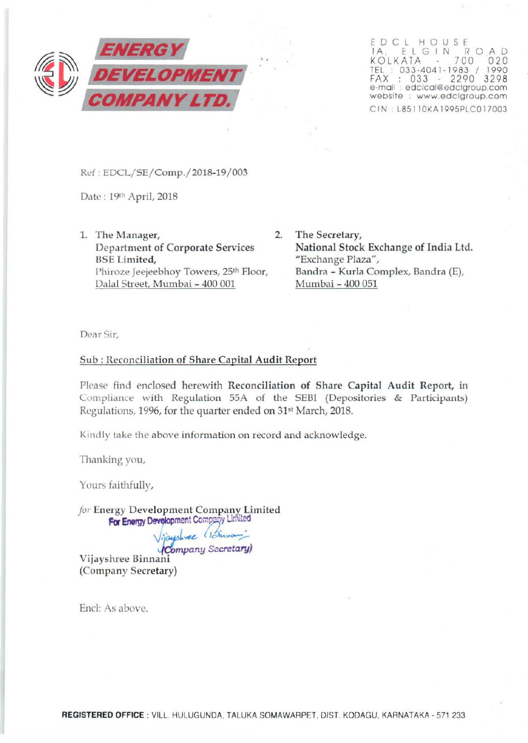

EDCL HOUSE IA, ELGIN ROAD KOLKATA 700 020 TEL : 033-4041-1983 / 1990 FAX : 033 - 2290 3298 e-mail : edclcal@edclgroup.com website : www.edclgroup.com CIN L85110KA1995PLC017003

Ref : EDCL/SE/Comp./2018-19/ 003

Date: 19th April, 2018

- 1. The Manager, 2. Department of Corporate Services BSE Limited, Phiroze Jeejeebhoy Towers, 25<sup>th</sup> Floor, Dalal Street, Mumbai - 400 001
	- The Secretary, National Stock Exchange of India Ltd. "Exchange Plaza", Bandra - Kurla Complex, Bandra (E), Mumbai- 400 051

Dear Sir,

## Sub : Reconciliation of Share Capital Audit Report

Please find enclosed herewith Reconciliation of Share Capital Audit Report, in Compliance with Regulation 55A of the SEBI (Depositories & Participants) Regulations, 1996, for the quarter ended on 31<sup>st</sup> March, 2018.

Kindly take the above information on record and acknowledge.

Thanking you,

Yours faithfully,

*for* Energy Development Company Limited For Energy Development Company Limited

*Viauphree* (*Dinnami*<br>**Company Secretary**) Vijayshree Binnani (Company Secretary)

End: As above.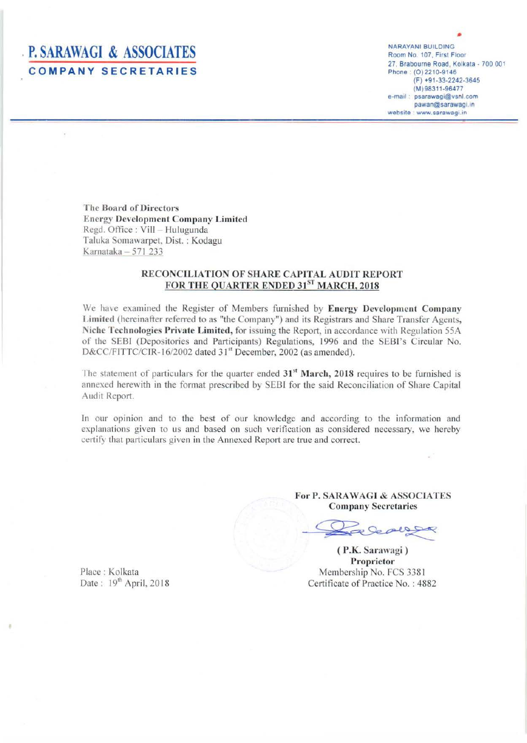## **P. SARAWAGI & ASSOCIATES COMPANY SECRETARIES**

NARAYANI BUILDING Room No. 107, First Floor 27. Brabourne Road, Kolkata- 700 001 Phone : (0) 2210-9146 (F) +91-33-2242-3645 (M)98311-96477 e-mail: psarawagi@vsnl.com pawan@sarawagi.in website : www.sarawagi.in

The Board of Directors **Energy Development Company Limited** Regd. Office: Vill - Hulugunda Taluka Somawarpet, Dist. : Kodagu Karnataka  $-571$  233

## RECONCJLIA TION OF SHARE CAPITAL AUDJT REPORT FOR THE QUARTER ENDED 31ST MARCH, 2018

We have examined the Register of Members furnished by Energy Development Company Limited (hereinafter referred to as "the Company") and its Registrars and Share Transfer Agents, Niche Technologies Private Limited, for issuing the Report, in accordance with Regulation 55A of the SEBI (Depositories and Participants) Regulations, 1996 and the SEBI's Circular No. D&CC/FITTC/CIR-16/2002 dated 31<sup>st</sup> December, 2002 (as amended).

The statement of particulars for the quarter ended  $31<sup>st</sup>$  March, 2018 requires to be furnished is annexed herewith in the format prescribed by SEBI for the said Reconciliation of Share Capital Audit Report.

In our opinion and to the best of our knowledge and according to the information and explanations given to us and based on such verification as considered necessary, we hereby certify that particulars given in the Annexed Report are true and correct

> For P. SARAWAGI & ASSOCIATES **Company Secretaries**

were

( P.K. Sarawagi ) Proprietor Membership No. FCS 3381 Certificate of Practice No. : 4882

Place : Kolkata Date:  $19<sup>th</sup>$  April, 2018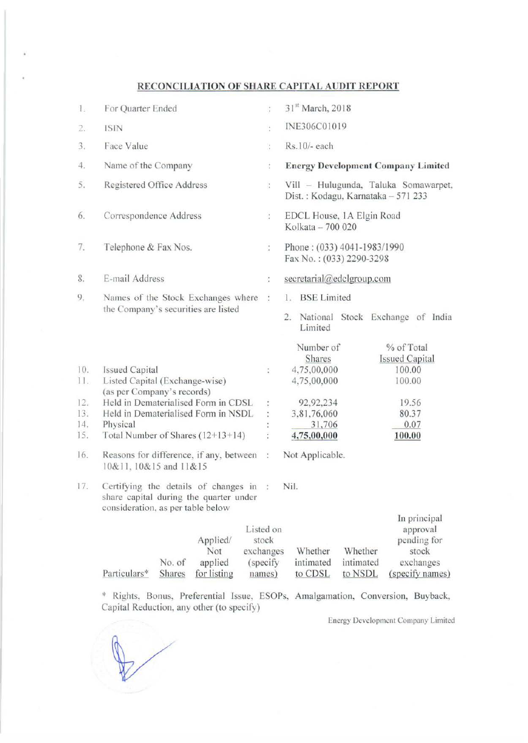## RECONCILIATION OF SHARE CAPITAL AUDIT REPORT

| 1.         | For Quarter Ended                                                                                                     | $\frac{1}{4}$                             | 31 <sup>st</sup> March, 2018                                               |                                 |                                                                                  |
|------------|-----------------------------------------------------------------------------------------------------------------------|-------------------------------------------|----------------------------------------------------------------------------|---------------------------------|----------------------------------------------------------------------------------|
| 2.         | <b>ISIN</b>                                                                                                           | ÷                                         | INE306C01019                                                               |                                 |                                                                                  |
| 3.         | Face Value                                                                                                            | ÷                                         | Rs.10/- each                                                               |                                 |                                                                                  |
| 4.         | Name of the Company                                                                                                   | t                                         | <b>Energy Development Company Limited</b>                                  |                                 |                                                                                  |
| 5.         | Registered Office Address                                                                                             | ÷,                                        | Vill - Hulugunda, Taluka Somawarpet,<br>Dist.: Kodagu, Karnataka - 571 233 |                                 |                                                                                  |
| 6.         | Correspondence Address                                                                                                | $\frac{1}{\pi}$                           | EDCL House, 1A Elgin Road<br>Kolkata - 700 020                             |                                 |                                                                                  |
| 7.         | Telephone & Fax Nos.                                                                                                  | $\ddot{\cdot}$                            | Phone: (033) 4041-1983/1990<br>Fax No.: (033) 2290-3298                    |                                 |                                                                                  |
| 8.         | E-mail Address                                                                                                        | ÷                                         | secretarial@edclgroup.com                                                  |                                 |                                                                                  |
| 9.         | Names of the Stock Exchanges where<br>the Company's securities are listed                                             | :                                         | 1. BSE Limited<br>2. National Stock Exchange of India<br>Limited           |                                 |                                                                                  |
| 10.<br>11. | <b>Issued Capital</b><br>Listed Capital (Exchange-wise)                                                               | ÷                                         | Number of<br>Shares<br>4,75,00,000<br>4,75,00,000                          |                                 | % of Total<br><b>Issued Capital</b><br>100.00<br>100.00                          |
| 12.        | (as per Company's records)<br>Held in Dematerialised Form in CDSL                                                     |                                           | 92,92,234                                                                  |                                 | 19.56                                                                            |
| 13.        | Held in Dematerialised Form in NSDL                                                                                   |                                           | 3,81,76,060                                                                |                                 | 80.37                                                                            |
| 14.<br>15. | Physical<br>Total Number of Shares $(12+13+14)$                                                                       |                                           | 31,706<br>4,75,00,000                                                      |                                 | 0.07<br>100.00                                                                   |
| 16.        | Reasons for difference, if any, between :<br>10&11, 10&15 and 11&15                                                   |                                           | Not Applicable.                                                            |                                 |                                                                                  |
| 17.        | Certifying the details of changes in :<br>share capital during the quarter under<br>consideration, as per table below |                                           | Nil.                                                                       |                                 |                                                                                  |
|            | Applied/<br>Not<br>exchanges<br>No. of<br>applied<br>Particulars*<br>Shares<br>for listing                            | Listed on<br>stock<br>(specify)<br>names) | Whether<br>intimated<br>to CDSL                                            | Whether<br>intimated<br>to NSDL | In principal<br>approval<br>pending for<br>stock<br>exchanges<br>(specify names) |

\* Rights, Bonus, Preferential Issue, ESOPs, Amalgamation, Conversion, Buyback, Capital Reduction, any other (to specify)

Energy Development Company Limited